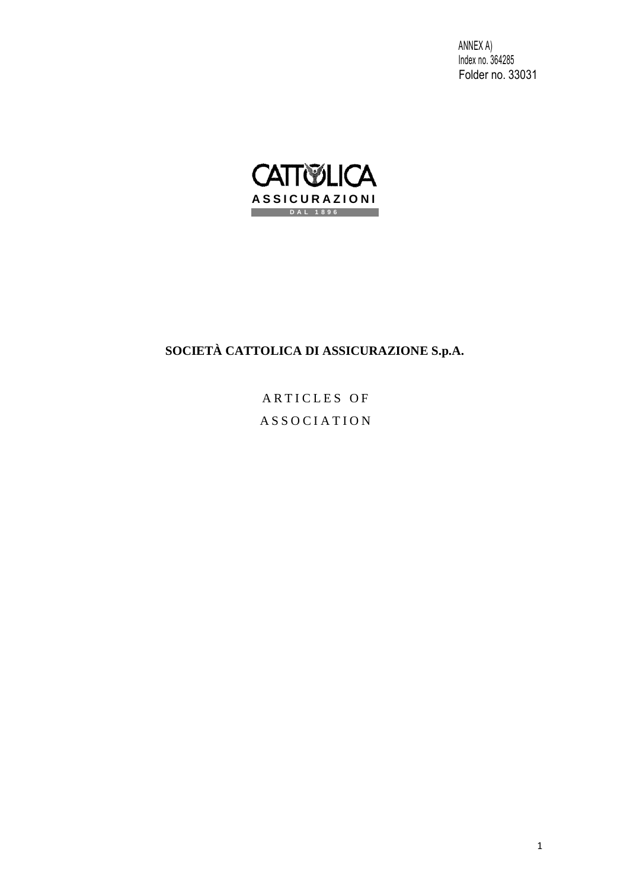ANNEX A) Index no. 364285 Folder no. 33031



# **SOCIETÀ CATTOLICA DI ASSICURAZIONE S.p.A.**

ARTICLES OF A S S O C I A T I O N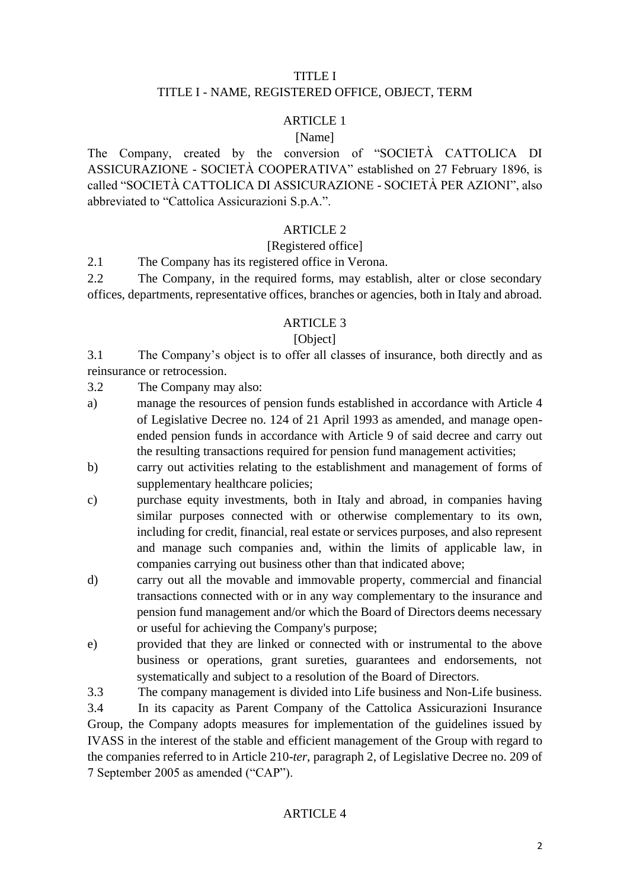### TITLE I

### TITLE I - NAME, REGISTERED OFFICE, OBJECT, TERM

### ARTICLE 1

### [Name]

The Company, created by the conversion of "SOCIETÀ CATTOLICA DI ASSICURAZIONE - SOCIETÀ COOPERATIVA" established on 27 February 1896, is called "SOCIETÀ CATTOLICA DI ASSICURAZIONE - SOCIETÀ PER AZIONI", also abbreviated to "Cattolica Assicurazioni S.p.A.".

### ARTICLE 2

#### [Registered office]

2.1 The Company has its registered office in Verona.

2.2 The Company, in the required forms, may establish, alter or close secondary offices, departments, representative offices, branches or agencies, both in Italy and abroad.

#### ARTICLE 3

### [Object]

3.1 The Company's object is to offer all classes of insurance, both directly and as reinsurance or retrocession.

3.2 The Company may also:

- a) manage the resources of pension funds established in accordance with Article 4 of Legislative Decree no. 124 of 21 April 1993 as amended, and manage openended pension funds in accordance with Article 9 of said decree and carry out the resulting transactions required for pension fund management activities;
- b) carry out activities relating to the establishment and management of forms of supplementary healthcare policies;
- c) purchase equity investments, both in Italy and abroad, in companies having similar purposes connected with or otherwise complementary to its own, including for credit, financial, real estate or services purposes, and also represent and manage such companies and, within the limits of applicable law, in companies carrying out business other than that indicated above;
- d) carry out all the movable and immovable property, commercial and financial transactions connected with or in any way complementary to the insurance and pension fund management and/or which the Board of Directors deems necessary or useful for achieving the Company's purpose;
- e) provided that they are linked or connected with or instrumental to the above business or operations, grant sureties, guarantees and endorsements, not systematically and subject to a resolution of the Board of Directors.
- 3.3 The company management is divided into Life business and Non-Life business.

3.4 In its capacity as Parent Company of the Cattolica Assicurazioni Insurance Group, the Company adopts measures for implementation of the guidelines issued by IVASS in the interest of the stable and efficient management of the Group with regard to the companies referred to in Article 210-*ter*, paragraph 2, of Legislative Decree no. 209 of 7 September 2005 as amended ("CAP").

### **ARTICLE 4**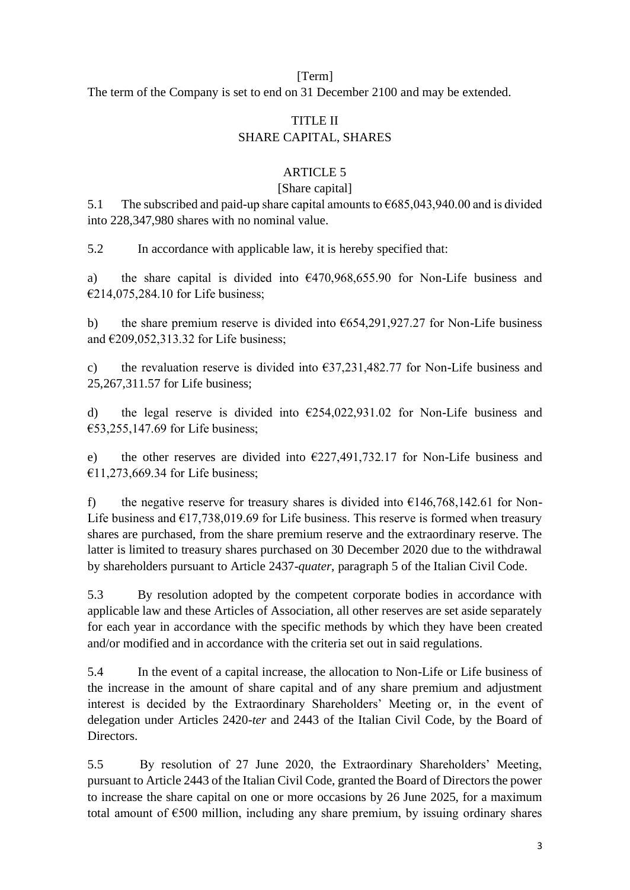## [Term]

The term of the Company is set to end on 31 December 2100 and may be extended.

## TITLE II SHARE CAPITAL, SHARES

## ARTICLE 5

## [Share capital]

5.1 The subscribed and paid-up share capital amounts to  $\epsilon$ 685,043,940.00 and is divided into 228,347,980 shares with no nominal value.

5.2 In accordance with applicable law, it is hereby specified that:

a) the share capital is divided into  $\epsilon$ 470,968,655.90 for Non-Life business and €214,075,284.10 for Life business;

b) the share premium reserve is divided into  $6654,291,927.27$  for Non-Life business and  $\epsilon$ 209,052,313.32 for Life business;

c) the revaluation reserve is divided into  $\epsilon$ 37,231,482.77 for Non-Life business and 25,267,311.57 for Life business;

d) the legal reserve is divided into €254,022,931.02 for Non-Life business and €53,255,147.69 for Life business;

e) the other reserves are divided into  $\epsilon$ 227,491,732.17 for Non-Life business and €11,273,669.34 for Life business;

f) the negative reserve for treasury shares is divided into  $\epsilon$ 146,768,142.61 for Non-Life business and  $\epsilon$ 17,738,019.69 for Life business. This reserve is formed when treasury shares are purchased, from the share premium reserve and the extraordinary reserve. The latter is limited to treasury shares purchased on 30 December 2020 due to the withdrawal by shareholders pursuant to Article 2437-*quater*, paragraph 5 of the Italian Civil Code.

5.3 By resolution adopted by the competent corporate bodies in accordance with applicable law and these Articles of Association, all other reserves are set aside separately for each year in accordance with the specific methods by which they have been created and/or modified and in accordance with the criteria set out in said regulations.

5.4 In the event of a capital increase, the allocation to Non-Life or Life business of the increase in the amount of share capital and of any share premium and adjustment interest is decided by the Extraordinary Shareholders' Meeting or, in the event of delegation under Articles 2420-*ter* and 2443 of the Italian Civil Code, by the Board of Directors.

5.5 By resolution of 27 June 2020, the Extraordinary Shareholders' Meeting, pursuant to Article 2443 of the Italian Civil Code, granted the Board of Directors the power to increase the share capital on one or more occasions by 26 June 2025, for a maximum total amount of  $\epsilon$ 500 million, including any share premium, by issuing ordinary shares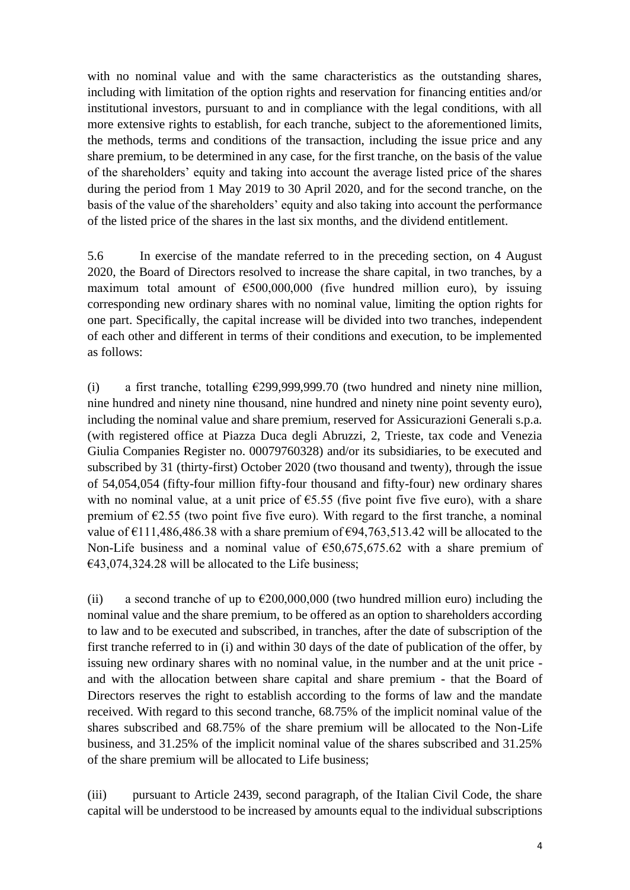with no nominal value and with the same characteristics as the outstanding shares, including with limitation of the option rights and reservation for financing entities and/or institutional investors, pursuant to and in compliance with the legal conditions, with all more extensive rights to establish, for each tranche, subject to the aforementioned limits, the methods, terms and conditions of the transaction, including the issue price and any share premium, to be determined in any case, for the first tranche, on the basis of the value of the shareholders' equity and taking into account the average listed price of the shares during the period from 1 May 2019 to 30 April 2020, and for the second tranche, on the basis of the value of the shareholders' equity and also taking into account the performance of the listed price of the shares in the last six months, and the dividend entitlement.

5.6 In exercise of the mandate referred to in the preceding section, on 4 August 2020, the Board of Directors resolved to increase the share capital, in two tranches, by a maximum total amount of  $\epsilon$ 500,000,000 (five hundred million euro), by issuing corresponding new ordinary shares with no nominal value, limiting the option rights for one part. Specifically, the capital increase will be divided into two tranches, independent of each other and different in terms of their conditions and execution, to be implemented as follows:

(i) a first tranche, totalling  $\epsilon$ 299,999,999.70 (two hundred and ninety nine million, nine hundred and ninety nine thousand, nine hundred and ninety nine point seventy euro), including the nominal value and share premium, reserved for Assicurazioni Generali s.p.a. (with registered office at Piazza Duca degli Abruzzi, 2, Trieste, tax code and Venezia Giulia Companies Register no. 00079760328) and/or its subsidiaries, to be executed and subscribed by 31 (thirty-first) October 2020 (two thousand and twenty), through the issue of 54,054,054 (fifty-four million fifty-four thousand and fifty-four) new ordinary shares with no nominal value, at a unit price of  $\epsilon$ 5.55 (five point five five euro), with a share premium of  $\epsilon$ 2.55 (two point five five euro). With regard to the first tranche, a nominal value of  $\epsilon$ 111,486,486.38 with a share premium of  $\epsilon$ 94,763,513.42 will be allocated to the Non-Life business and a nominal value of  $\epsilon$ 50,675,675.62 with a share premium of  $€43,074,324.28$  will be allocated to the Life business;

(ii) a second tranche of up to  $\epsilon$ 200,000,000 (two hundred million euro) including the nominal value and the share premium, to be offered as an option to shareholders according to law and to be executed and subscribed, in tranches, after the date of subscription of the first tranche referred to in (i) and within 30 days of the date of publication of the offer, by issuing new ordinary shares with no nominal value, in the number and at the unit price and with the allocation between share capital and share premium - that the Board of Directors reserves the right to establish according to the forms of law and the mandate received. With regard to this second tranche, 68.75% of the implicit nominal value of the shares subscribed and 68.75% of the share premium will be allocated to the Non-Life business, and 31.25% of the implicit nominal value of the shares subscribed and 31.25% of the share premium will be allocated to Life business;

(iii) pursuant to Article 2439, second paragraph, of the Italian Civil Code, the share capital will be understood to be increased by amounts equal to the individual subscriptions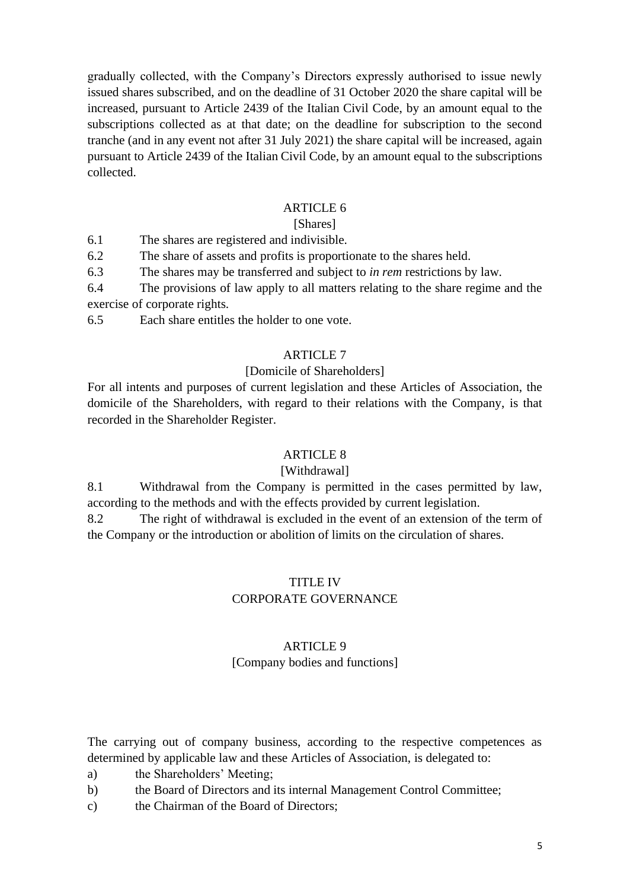gradually collected, with the Company's Directors expressly authorised to issue newly issued shares subscribed, and on the deadline of 31 October 2020 the share capital will be increased, pursuant to Article 2439 of the Italian Civil Code, by an amount equal to the subscriptions collected as at that date; on the deadline for subscription to the second tranche (and in any event not after 31 July 2021) the share capital will be increased, again pursuant to Article 2439 of the Italian Civil Code, by an amount equal to the subscriptions collected.

### ARTICLE 6

## [Shares]

6.1 The shares are registered and indivisible.

6.2 The share of assets and profits is proportionate to the shares held.

6.3 The shares may be transferred and subject to *in rem* restrictions by law.

6.4 The provisions of law apply to all matters relating to the share regime and the exercise of corporate rights.

6.5 Each share entitles the holder to one vote.

## ARTICLE 7

### [Domicile of Shareholders]

For all intents and purposes of current legislation and these Articles of Association, the domicile of the Shareholders, with regard to their relations with the Company, is that recorded in the Shareholder Register.

### ARTICLE 8

### [Withdrawal]

8.1 Withdrawal from the Company is permitted in the cases permitted by law, according to the methods and with the effects provided by current legislation.

8.2 The right of withdrawal is excluded in the event of an extension of the term of the Company or the introduction or abolition of limits on the circulation of shares.

## TITLE IV CORPORATE GOVERNANCE

### ARTICLE 9

### [Company bodies and functions]

The carrying out of company business, according to the respective competences as determined by applicable law and these Articles of Association, is delegated to:

- a) the Shareholders' Meeting;
- b) the Board of Directors and its internal Management Control Committee;
- c) the Chairman of the Board of Directors;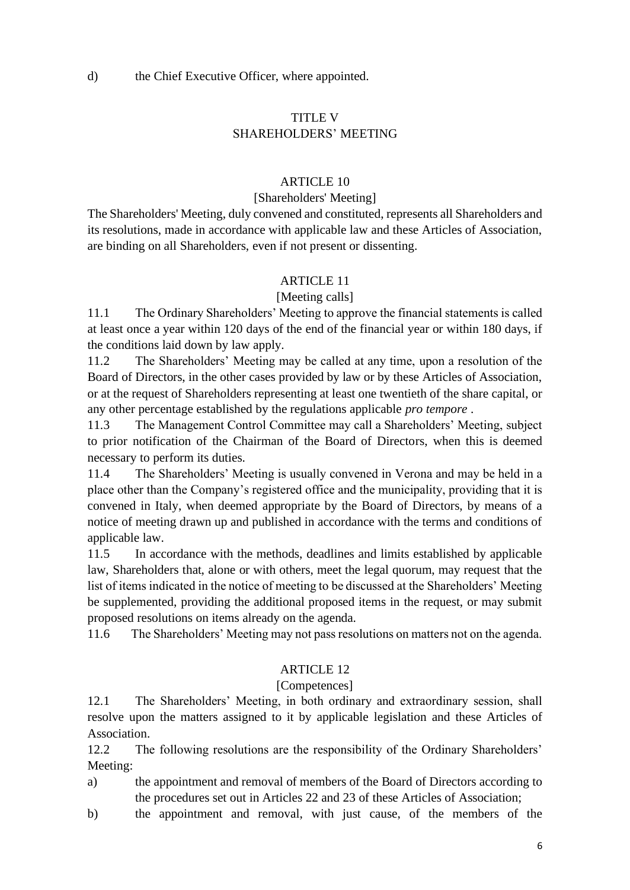## TITLE V SHAREHOLDERS' MEETING

### ARTICLE 10

#### [Shareholders' Meeting]

The Shareholders' Meeting, duly convened and constituted, represents all Shareholders and its resolutions, made in accordance with applicable law and these Articles of Association, are binding on all Shareholders, even if not present or dissenting.

### ARTICLE 11

### [Meeting calls]

11.1 The Ordinary Shareholders' Meeting to approve the financial statements is called at least once a year within 120 days of the end of the financial year or within 180 days, if the conditions laid down by law apply.

11.2 The Shareholders' Meeting may be called at any time, upon a resolution of the Board of Directors, in the other cases provided by law or by these Articles of Association, or at the request of Shareholders representing at least one twentieth of the share capital, or any other percentage established by the regulations applicable *pro tempore* .

11.3 The Management Control Committee may call a Shareholders' Meeting, subject to prior notification of the Chairman of the Board of Directors, when this is deemed necessary to perform its duties.

11.4 The Shareholders' Meeting is usually convened in Verona and may be held in a place other than the Company's registered office and the municipality, providing that it is convened in Italy, when deemed appropriate by the Board of Directors, by means of a notice of meeting drawn up and published in accordance with the terms and conditions of applicable law.

11.5 In accordance with the methods, deadlines and limits established by applicable law, Shareholders that, alone or with others, meet the legal quorum, may request that the list of items indicated in the notice of meeting to be discussed at the Shareholders' Meeting be supplemented, providing the additional proposed items in the request, or may submit proposed resolutions on items already on the agenda.

11.6 The Shareholders' Meeting may not pass resolutions on matters not on the agenda.

### ARTICLE 12

#### [Competences]

12.1 The Shareholders' Meeting, in both ordinary and extraordinary session, shall resolve upon the matters assigned to it by applicable legislation and these Articles of Association.

12.2 The following resolutions are the responsibility of the Ordinary Shareholders' Meeting:

- a) the appointment and removal of members of the Board of Directors according to the procedures set out in Articles 22 and 23 of these Articles of Association;
- b) the appointment and removal, with just cause, of the members of the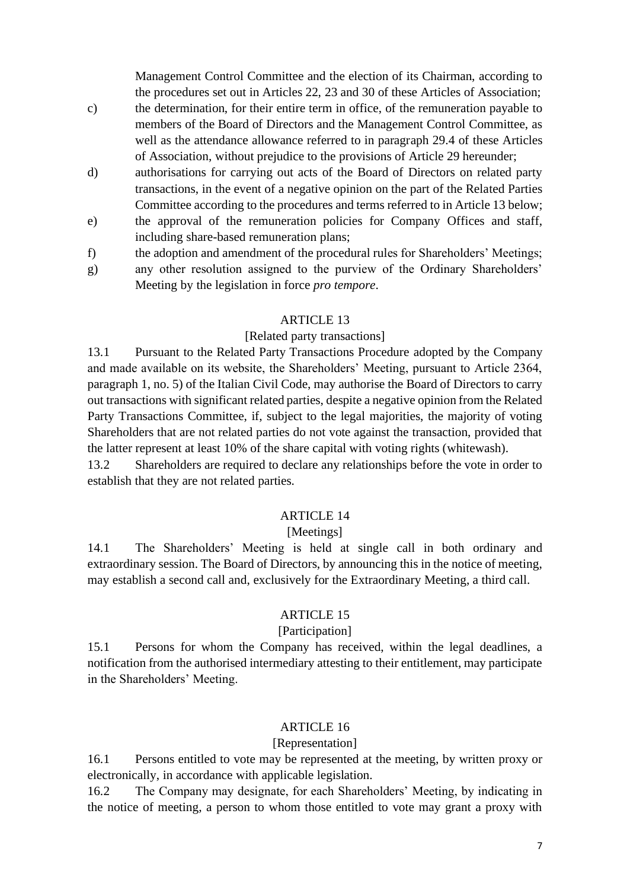Management Control Committee and the election of its Chairman, according to the procedures set out in Articles 22, 23 and 30 of these Articles of Association;

- c) the determination, for their entire term in office, of the remuneration payable to members of the Board of Directors and the Management Control Committee, as well as the attendance allowance referred to in paragraph 29.4 of these Articles of Association, without prejudice to the provisions of Article 29 hereunder;
- d) authorisations for carrying out acts of the Board of Directors on related party transactions, in the event of a negative opinion on the part of the Related Parties Committee according to the procedures and terms referred to in Article 13 below;
- e) the approval of the remuneration policies for Company Offices and staff, including share-based remuneration plans;
- f) the adoption and amendment of the procedural rules for Shareholders' Meetings;
- g) any other resolution assigned to the purview of the Ordinary Shareholders' Meeting by the legislation in force *pro tempore*.

## **ARTICLE 13**

## [Related party transactions]

13.1 Pursuant to the Related Party Transactions Procedure adopted by the Company and made available on its website, the Shareholders' Meeting, pursuant to Article 2364, paragraph 1, no. 5) of the Italian Civil Code, may authorise the Board of Directors to carry out transactions with significant related parties, despite a negative opinion from the Related Party Transactions Committee, if, subject to the legal majorities, the majority of voting Shareholders that are not related parties do not vote against the transaction, provided that the latter represent at least 10% of the share capital with voting rights (whitewash).

13.2 Shareholders are required to declare any relationships before the vote in order to establish that they are not related parties.

### ARTICLE 14

## [Meetings]

14.1 The Shareholders' Meeting is held at single call in both ordinary and extraordinary session. The Board of Directors, by announcing this in the notice of meeting, may establish a second call and, exclusively for the Extraordinary Meeting, a third call.

### ARTICLE 15

### [Participation]

15.1 Persons for whom the Company has received, within the legal deadlines, a notification from the authorised intermediary attesting to their entitlement, may participate in the Shareholders' Meeting.

### ARTICLE 16

## [Representation]

16.1 Persons entitled to vote may be represented at the meeting, by written proxy or electronically, in accordance with applicable legislation.

16.2 The Company may designate, for each Shareholders' Meeting, by indicating in the notice of meeting, a person to whom those entitled to vote may grant a proxy with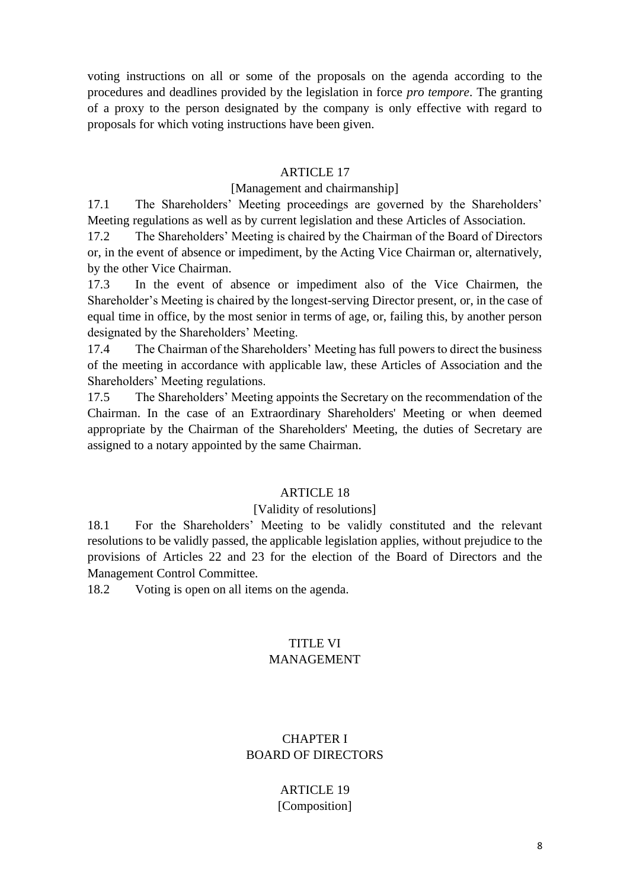voting instructions on all or some of the proposals on the agenda according to the procedures and deadlines provided by the legislation in force *pro tempore*. The granting of a proxy to the person designated by the company is only effective with regard to proposals for which voting instructions have been given.

### ARTICLE 17

### [Management and chairmanship]

17.1 The Shareholders' Meeting proceedings are governed by the Shareholders' Meeting regulations as well as by current legislation and these Articles of Association.

17.2 The Shareholders' Meeting is chaired by the Chairman of the Board of Directors or, in the event of absence or impediment, by the Acting Vice Chairman or, alternatively, by the other Vice Chairman.

17.3 In the event of absence or impediment also of the Vice Chairmen, the Shareholder's Meeting is chaired by the longest-serving Director present, or, in the case of equal time in office, by the most senior in terms of age, or, failing this, by another person designated by the Shareholders' Meeting.

17.4 The Chairman of the Shareholders' Meeting has full powers to direct the business of the meeting in accordance with applicable law, these Articles of Association and the Shareholders' Meeting regulations.

17.5 The Shareholders' Meeting appoints the Secretary on the recommendation of the Chairman. In the case of an Extraordinary Shareholders' Meeting or when deemed appropriate by the Chairman of the Shareholders' Meeting, the duties of Secretary are assigned to a notary appointed by the same Chairman.

#### ARTICLE 18

#### [Validity of resolutions]

18.1 For the Shareholders' Meeting to be validly constituted and the relevant resolutions to be validly passed, the applicable legislation applies, without prejudice to the provisions of Articles 22 and 23 for the election of the Board of Directors and the Management Control Committee.

18.2 Voting is open on all items on the agenda.

## TITLE VI MANAGEMENT

## CHAPTER I BOARD OF DIRECTORS

## ARTICLE 19 [Composition]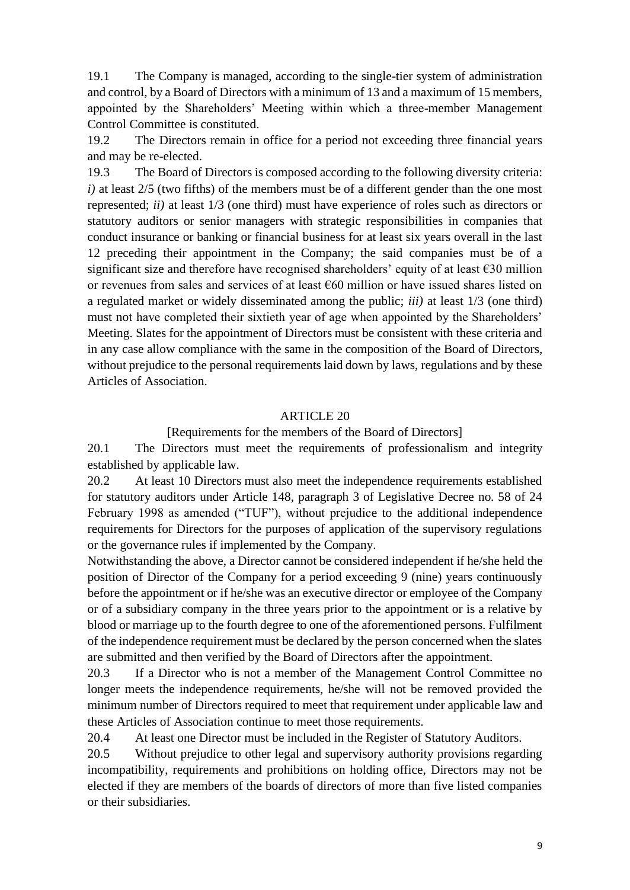19.1 The Company is managed, according to the single-tier system of administration and control, by a Board of Directors with a minimum of 13 and a maximum of 15 members, appointed by the Shareholders' Meeting within which a three-member Management Control Committee is constituted.

19.2 The Directors remain in office for a period not exceeding three financial years and may be re-elected.

19.3 The Board of Directors is composed according to the following diversity criteria: *i)* at least 2/5 (two fifths) of the members must be of a different gender than the one most represented; *ii)* at least 1/3 (one third) must have experience of roles such as directors or statutory auditors or senior managers with strategic responsibilities in companies that conduct insurance or banking or financial business for at least six years overall in the last 12 preceding their appointment in the Company; the said companies must be of a significant size and therefore have recognised shareholders' equity of at least  $\epsilon$ 30 million or revenues from sales and services of at least €60 million or have issued shares listed on a regulated market or widely disseminated among the public; *iii)* at least 1/3 (one third) must not have completed their sixtieth year of age when appointed by the Shareholders' Meeting. Slates for the appointment of Directors must be consistent with these criteria and in any case allow compliance with the same in the composition of the Board of Directors, without prejudice to the personal requirements laid down by laws, regulations and by these Articles of Association.

### ARTICLE 20

### [Requirements for the members of the Board of Directors]

20.1 The Directors must meet the requirements of professionalism and integrity established by applicable law.

20.2 At least 10 Directors must also meet the independence requirements established for statutory auditors under Article 148, paragraph 3 of Legislative Decree no. 58 of 24 February 1998 as amended ("TUF"), without prejudice to the additional independence requirements for Directors for the purposes of application of the supervisory regulations or the governance rules if implemented by the Company.

Notwithstanding the above, a Director cannot be considered independent if he/she held the position of Director of the Company for a period exceeding 9 (nine) years continuously before the appointment or if he/she was an executive director or employee of the Company or of a subsidiary company in the three years prior to the appointment or is a relative by blood or marriage up to the fourth degree to one of the aforementioned persons. Fulfilment of the independence requirement must be declared by the person concerned when the slates are submitted and then verified by the Board of Directors after the appointment.

20.3 If a Director who is not a member of the Management Control Committee no longer meets the independence requirements, he/she will not be removed provided the minimum number of Directors required to meet that requirement under applicable law and these Articles of Association continue to meet those requirements.

20.4 At least one Director must be included in the Register of Statutory Auditors.

20.5 Without prejudice to other legal and supervisory authority provisions regarding incompatibility, requirements and prohibitions on holding office, Directors may not be elected if they are members of the boards of directors of more than five listed companies or their subsidiaries.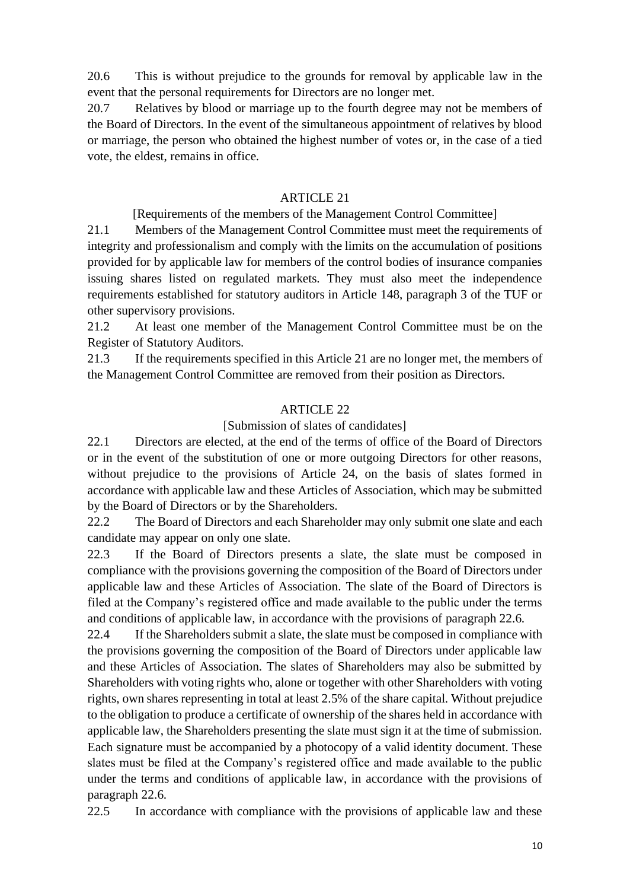20.6 This is without prejudice to the grounds for removal by applicable law in the event that the personal requirements for Directors are no longer met.

20.7 Relatives by blood or marriage up to the fourth degree may not be members of the Board of Directors. In the event of the simultaneous appointment of relatives by blood or marriage, the person who obtained the highest number of votes or, in the case of a tied vote, the eldest, remains in office.

## ARTICLE 21

[Requirements of the members of the Management Control Committee]

21.1 Members of the Management Control Committee must meet the requirements of integrity and professionalism and comply with the limits on the accumulation of positions provided for by applicable law for members of the control bodies of insurance companies issuing shares listed on regulated markets. They must also meet the independence requirements established for statutory auditors in Article 148, paragraph 3 of the TUF or other supervisory provisions.

21.2 At least one member of the Management Control Committee must be on the Register of Statutory Auditors.

21.3 If the requirements specified in this Article 21 are no longer met, the members of the Management Control Committee are removed from their position as Directors.

## ARTICLE 22

## [Submission of slates of candidates]

22.1 Directors are elected, at the end of the terms of office of the Board of Directors or in the event of the substitution of one or more outgoing Directors for other reasons, without prejudice to the provisions of Article 24, on the basis of slates formed in accordance with applicable law and these Articles of Association, which may be submitted by the Board of Directors or by the Shareholders.

22.2 The Board of Directors and each Shareholder may only submit one slate and each candidate may appear on only one slate.

22.3 If the Board of Directors presents a slate, the slate must be composed in compliance with the provisions governing the composition of the Board of Directors under applicable law and these Articles of Association. The slate of the Board of Directors is filed at the Company's registered office and made available to the public under the terms and conditions of applicable law, in accordance with the provisions of paragraph 22.6.

22.4 If the Shareholders submit a slate, the slate must be composed in compliance with the provisions governing the composition of the Board of Directors under applicable law and these Articles of Association. The slates of Shareholders may also be submitted by Shareholders with voting rights who, alone or together with other Shareholders with voting rights, own shares representing in total at least 2.5% of the share capital. Without prejudice to the obligation to produce a certificate of ownership of the shares held in accordance with applicable law, the Shareholders presenting the slate must sign it at the time of submission. Each signature must be accompanied by a photocopy of a valid identity document. These slates must be filed at the Company's registered office and made available to the public under the terms and conditions of applicable law, in accordance with the provisions of paragraph 22.6.

22.5 In accordance with compliance with the provisions of applicable law and these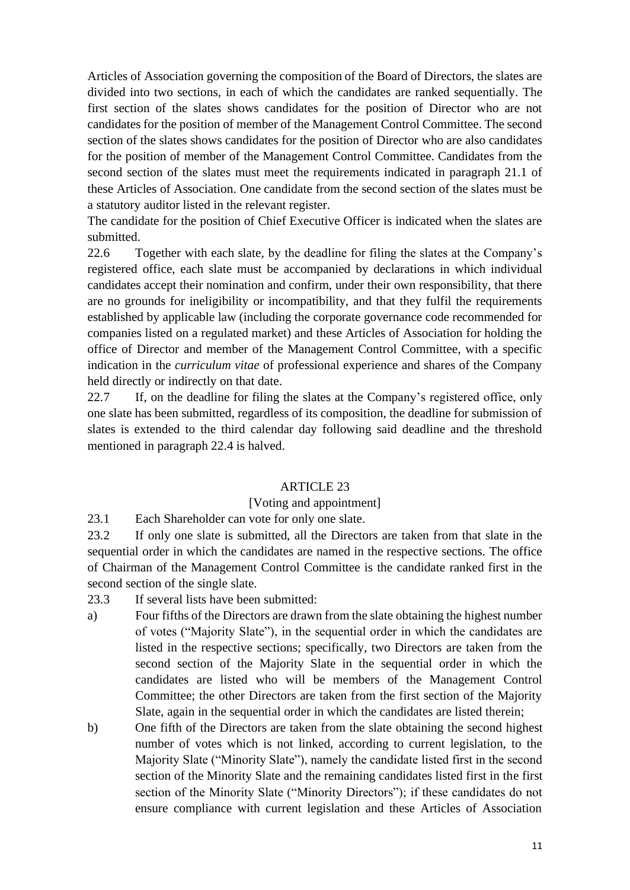Articles of Association governing the composition of the Board of Directors, the slates are divided into two sections, in each of which the candidates are ranked sequentially. The first section of the slates shows candidates for the position of Director who are not candidates for the position of member of the Management Control Committee. The second section of the slates shows candidates for the position of Director who are also candidates for the position of member of the Management Control Committee. Candidates from the second section of the slates must meet the requirements indicated in paragraph 21.1 of these Articles of Association. One candidate from the second section of the slates must be a statutory auditor listed in the relevant register.

The candidate for the position of Chief Executive Officer is indicated when the slates are submitted.

22.6 Together with each slate, by the deadline for filing the slates at the Company's registered office, each slate must be accompanied by declarations in which individual candidates accept their nomination and confirm, under their own responsibility, that there are no grounds for ineligibility or incompatibility, and that they fulfil the requirements established by applicable law (including the corporate governance code recommended for companies listed on a regulated market) and these Articles of Association for holding the office of Director and member of the Management Control Committee, with a specific indication in the *curriculum vitae* of professional experience and shares of the Company held directly or indirectly on that date.

22.7 If, on the deadline for filing the slates at the Company's registered office, only one slate has been submitted, regardless of its composition, the deadline for submission of slates is extended to the third calendar day following said deadline and the threshold mentioned in paragraph 22.4 is halved.

## ARTICLE 23

## [Voting and appointment]

23.1 Each Shareholder can vote for only one slate.

23.2 If only one slate is submitted, all the Directors are taken from that slate in the sequential order in which the candidates are named in the respective sections. The office of Chairman of the Management Control Committee is the candidate ranked first in the second section of the single slate.

- 23.3 If several lists have been submitted:
- a) Four fifths of the Directors are drawn from the slate obtaining the highest number of votes ("Majority Slate"), in the sequential order in which the candidates are listed in the respective sections; specifically, two Directors are taken from the second section of the Majority Slate in the sequential order in which the candidates are listed who will be members of the Management Control Committee; the other Directors are taken from the first section of the Majority Slate, again in the sequential order in which the candidates are listed therein;
- b) One fifth of the Directors are taken from the slate obtaining the second highest number of votes which is not linked, according to current legislation, to the Majority Slate ("Minority Slate"), namely the candidate listed first in the second section of the Minority Slate and the remaining candidates listed first in the first section of the Minority Slate ("Minority Directors"); if these candidates do not ensure compliance with current legislation and these Articles of Association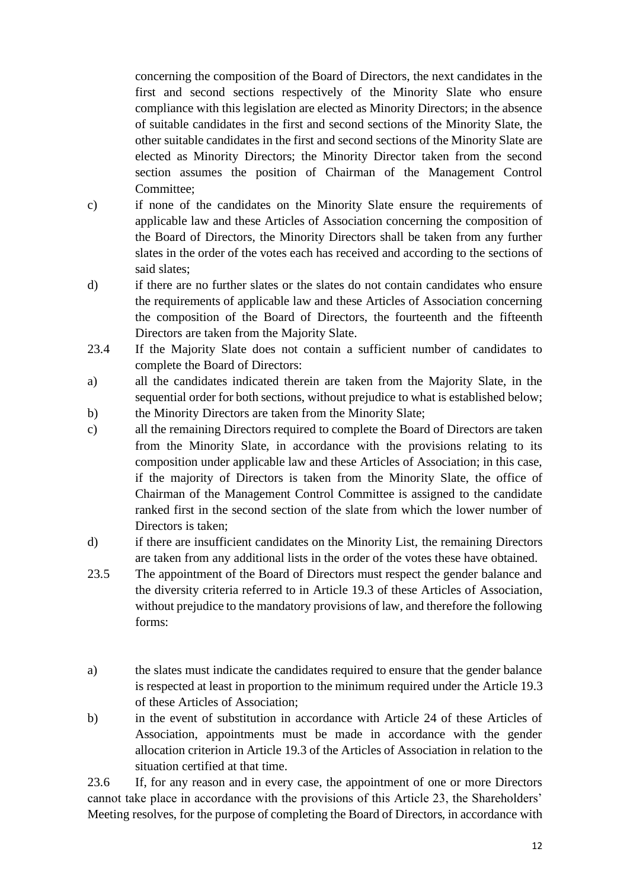concerning the composition of the Board of Directors, the next candidates in the first and second sections respectively of the Minority Slate who ensure compliance with this legislation are elected as Minority Directors; in the absence of suitable candidates in the first and second sections of the Minority Slate, the other suitable candidates in the first and second sections of the Minority Slate are elected as Minority Directors; the Minority Director taken from the second section assumes the position of Chairman of the Management Control Committee;

- c) if none of the candidates on the Minority Slate ensure the requirements of applicable law and these Articles of Association concerning the composition of the Board of Directors, the Minority Directors shall be taken from any further slates in the order of the votes each has received and according to the sections of said slates;
- d) if there are no further slates or the slates do not contain candidates who ensure the requirements of applicable law and these Articles of Association concerning the composition of the Board of Directors, the fourteenth and the fifteenth Directors are taken from the Majority Slate.
- 23.4 If the Majority Slate does not contain a sufficient number of candidates to complete the Board of Directors:
- a) all the candidates indicated therein are taken from the Majority Slate, in the sequential order for both sections, without prejudice to what is established below;
- b) the Minority Directors are taken from the Minority Slate;
- c) all the remaining Directors required to complete the Board of Directors are taken from the Minority Slate, in accordance with the provisions relating to its composition under applicable law and these Articles of Association; in this case, if the majority of Directors is taken from the Minority Slate, the office of Chairman of the Management Control Committee is assigned to the candidate ranked first in the second section of the slate from which the lower number of Directors is taken;
- d) if there are insufficient candidates on the Minority List, the remaining Directors are taken from any additional lists in the order of the votes these have obtained.
- 23.5 The appointment of the Board of Directors must respect the gender balance and the diversity criteria referred to in Article 19.3 of these Articles of Association, without prejudice to the mandatory provisions of law, and therefore the following forms:
- a) the slates must indicate the candidates required to ensure that the gender balance is respected at least in proportion to the minimum required under the Article 19.3 of these Articles of Association;
- b) in the event of substitution in accordance with Article 24 of these Articles of Association, appointments must be made in accordance with the gender allocation criterion in Article 19.3 of the Articles of Association in relation to the situation certified at that time.

23.6 If, for any reason and in every case, the appointment of one or more Directors cannot take place in accordance with the provisions of this Article 23, the Shareholders' Meeting resolves, for the purpose of completing the Board of Directors, in accordance with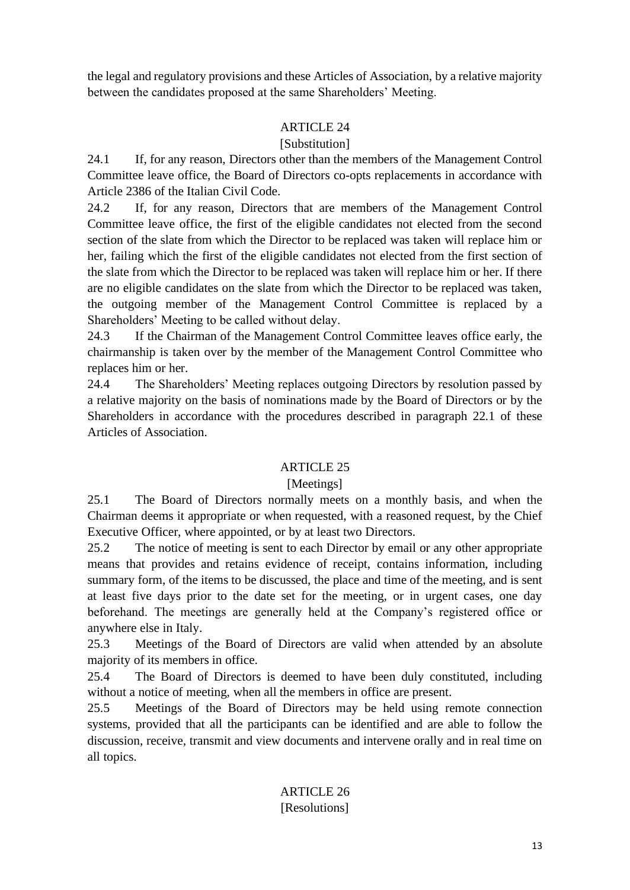the legal and regulatory provisions and these Articles of Association, by a relative majority between the candidates proposed at the same Shareholders' Meeting.

## ARTICLE 24

## [Substitution]

24.1 If, for any reason, Directors other than the members of the Management Control Committee leave office, the Board of Directors co-opts replacements in accordance with Article 2386 of the Italian Civil Code.

24.2 If, for any reason, Directors that are members of the Management Control Committee leave office, the first of the eligible candidates not elected from the second section of the slate from which the Director to be replaced was taken will replace him or her, failing which the first of the eligible candidates not elected from the first section of the slate from which the Director to be replaced was taken will replace him or her. If there are no eligible candidates on the slate from which the Director to be replaced was taken, the outgoing member of the Management Control Committee is replaced by a Shareholders' Meeting to be called without delay.

24.3 If the Chairman of the Management Control Committee leaves office early, the chairmanship is taken over by the member of the Management Control Committee who replaces him or her.

24.4 The Shareholders' Meeting replaces outgoing Directors by resolution passed by a relative majority on the basis of nominations made by the Board of Directors or by the Shareholders in accordance with the procedures described in paragraph 22.1 of these Articles of Association.

## ARTICLE 25

## [Meetings]

25.1 The Board of Directors normally meets on a monthly basis, and when the Chairman deems it appropriate or when requested, with a reasoned request, by the Chief Executive Officer, where appointed, or by at least two Directors.

25.2 The notice of meeting is sent to each Director by email or any other appropriate means that provides and retains evidence of receipt, contains information, including summary form, of the items to be discussed, the place and time of the meeting, and is sent at least five days prior to the date set for the meeting, or in urgent cases, one day beforehand. The meetings are generally held at the Company's registered office or anywhere else in Italy.

25.3 Meetings of the Board of Directors are valid when attended by an absolute majority of its members in office.

25.4 The Board of Directors is deemed to have been duly constituted, including without a notice of meeting, when all the members in office are present.

25.5 Meetings of the Board of Directors may be held using remote connection systems, provided that all the participants can be identified and are able to follow the discussion, receive, transmit and view documents and intervene orally and in real time on all topics.

## ARTICLE 26 [Resolutions]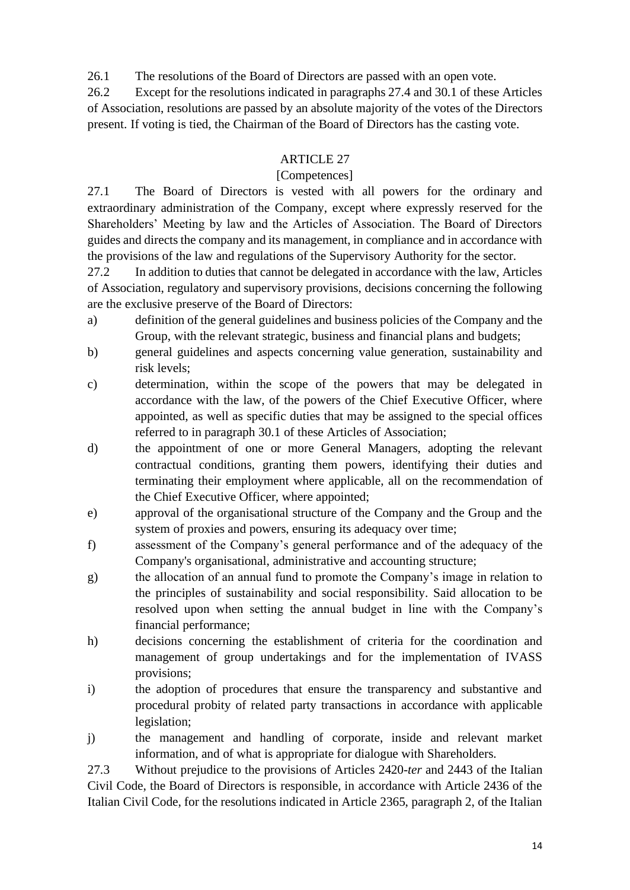26.1 The resolutions of the Board of Directors are passed with an open vote.

26.2 Except for the resolutions indicated in paragraphs 27.4 and 30.1 of these Articles of Association, resolutions are passed by an absolute majority of the votes of the Directors present. If voting is tied, the Chairman of the Board of Directors has the casting vote.

## ARTICLE 27

## [Competences]

27.1 The Board of Directors is vested with all powers for the ordinary and extraordinary administration of the Company, except where expressly reserved for the Shareholders' Meeting by law and the Articles of Association. The Board of Directors guides and directs the company and its management, in compliance and in accordance with the provisions of the law and regulations of the Supervisory Authority for the sector.

27.2 In addition to duties that cannot be delegated in accordance with the law, Articles of Association, regulatory and supervisory provisions, decisions concerning the following are the exclusive preserve of the Board of Directors:

- a) definition of the general guidelines and business policies of the Company and the Group, with the relevant strategic, business and financial plans and budgets;
- b) general guidelines and aspects concerning value generation, sustainability and risk levels;
- c) determination, within the scope of the powers that may be delegated in accordance with the law, of the powers of the Chief Executive Officer, where appointed, as well as specific duties that may be assigned to the special offices referred to in paragraph 30.1 of these Articles of Association;
- d) the appointment of one or more General Managers, adopting the relevant contractual conditions, granting them powers, identifying their duties and terminating their employment where applicable, all on the recommendation of the Chief Executive Officer, where appointed;
- e) approval of the organisational structure of the Company and the Group and the system of proxies and powers, ensuring its adequacy over time;
- f) assessment of the Company's general performance and of the adequacy of the Company's organisational, administrative and accounting structure;
- g) the allocation of an annual fund to promote the Company's image in relation to the principles of sustainability and social responsibility. Said allocation to be resolved upon when setting the annual budget in line with the Company's financial performance;
- h) decisions concerning the establishment of criteria for the coordination and management of group undertakings and for the implementation of IVASS provisions;
- i) the adoption of procedures that ensure the transparency and substantive and procedural probity of related party transactions in accordance with applicable legislation;
- j) the management and handling of corporate, inside and relevant market information, and of what is appropriate for dialogue with Shareholders.

27.3 Without prejudice to the provisions of Articles 2420-*ter* and 2443 of the Italian Civil Code, the Board of Directors is responsible, in accordance with Article 2436 of the Italian Civil Code, for the resolutions indicated in Article 2365, paragraph 2, of the Italian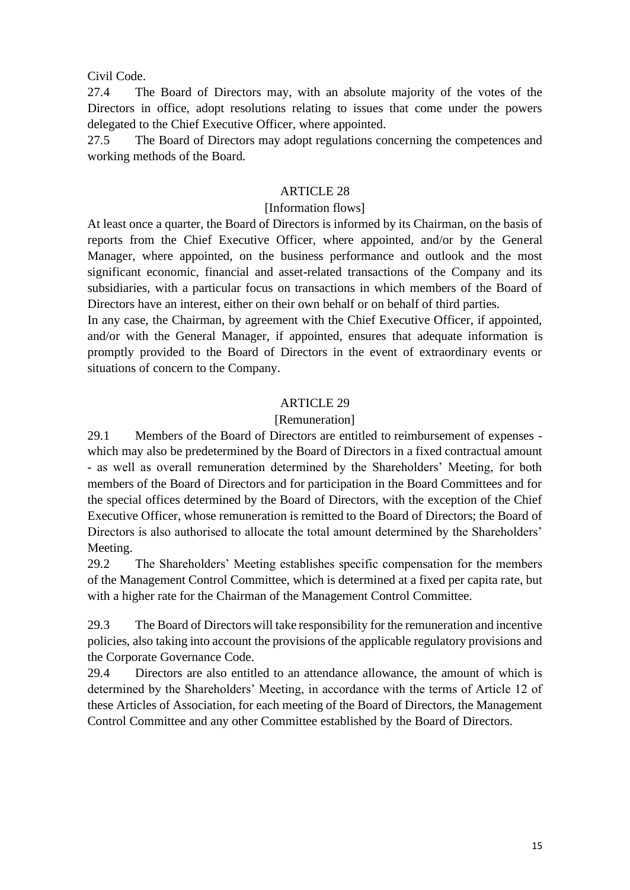Civil Code.

27.4 The Board of Directors may, with an absolute majority of the votes of the Directors in office, adopt resolutions relating to issues that come under the powers delegated to the Chief Executive Officer, where appointed.

27.5 The Board of Directors may adopt regulations concerning the competences and working methods of the Board.

## ARTICLE 28

## [Information flows]

At least once a quarter, the Board of Directors is informed by its Chairman, on the basis of reports from the Chief Executive Officer, where appointed, and/or by the General Manager, where appointed, on the business performance and outlook and the most significant economic, financial and asset-related transactions of the Company and its subsidiaries, with a particular focus on transactions in which members of the Board of Directors have an interest, either on their own behalf or on behalf of third parties.

In any case, the Chairman, by agreement with the Chief Executive Officer, if appointed, and/or with the General Manager, if appointed, ensures that adequate information is promptly provided to the Board of Directors in the event of extraordinary events or situations of concern to the Company.

## ARTICLE 29

## [Remuneration]

29.1 Members of the Board of Directors are entitled to reimbursement of expenses which may also be predetermined by the Board of Directors in a fixed contractual amount - as well as overall remuneration determined by the Shareholders' Meeting, for both members of the Board of Directors and for participation in the Board Committees and for the special offices determined by the Board of Directors, with the exception of the Chief Executive Officer, whose remuneration is remitted to the Board of Directors; the Board of Directors is also authorised to allocate the total amount determined by the Shareholders' Meeting.

29.2 The Shareholders' Meeting establishes specific compensation for the members of the Management Control Committee, which is determined at a fixed per capita rate, but with a higher rate for the Chairman of the Management Control Committee.

29.3 The Board of Directors will take responsibility for the remuneration and incentive policies, also taking into account the provisions of the applicable regulatory provisions and the Corporate Governance Code.

29.4 Directors are also entitled to an attendance allowance, the amount of which is determined by the Shareholders' Meeting, in accordance with the terms of Article 12 of these Articles of Association, for each meeting of the Board of Directors, the Management Control Committee and any other Committee established by the Board of Directors.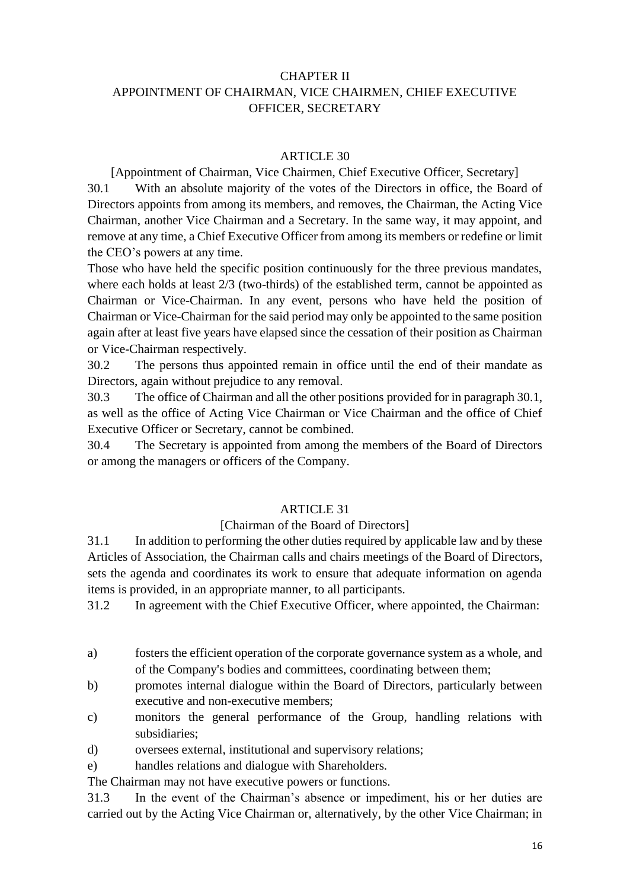## CHAPTER II APPOINTMENT OF CHAIRMAN, VICE CHAIRMEN, CHIEF EXECUTIVE OFFICER, SECRETARY

## ARTICLE 30

[Appointment of Chairman, Vice Chairmen, Chief Executive Officer, Secretary] 30.1 With an absolute majority of the votes of the Directors in office, the Board of Directors appoints from among its members, and removes, the Chairman, the Acting Vice Chairman, another Vice Chairman and a Secretary. In the same way, it may appoint, and remove at any time, a Chief Executive Officer from among its members or redefine or limit the CEO's powers at any time.

Those who have held the specific position continuously for the three previous mandates, where each holds at least 2/3 (two-thirds) of the established term, cannot be appointed as Chairman or Vice-Chairman. In any event, persons who have held the position of Chairman or Vice-Chairman for the said period may only be appointed to the same position again after at least five years have elapsed since the cessation of their position as Chairman or Vice-Chairman respectively.

30.2 The persons thus appointed remain in office until the end of their mandate as Directors, again without prejudice to any removal.

30.3 The office of Chairman and all the other positions provided for in paragraph 30.1, as well as the office of Acting Vice Chairman or Vice Chairman and the office of Chief Executive Officer or Secretary, cannot be combined.

30.4 The Secretary is appointed from among the members of the Board of Directors or among the managers or officers of the Company.

## ARTICLE 31

## [Chairman of the Board of Directors]

31.1 In addition to performing the other duties required by applicable law and by these Articles of Association, the Chairman calls and chairs meetings of the Board of Directors, sets the agenda and coordinates its work to ensure that adequate information on agenda items is provided, in an appropriate manner, to all participants.

31.2 In agreement with the Chief Executive Officer, where appointed, the Chairman:

- a) fosters the efficient operation of the corporate governance system as a whole, and of the Company's bodies and committees, coordinating between them;
- b) promotes internal dialogue within the Board of Directors, particularly between executive and non-executive members;
- c) monitors the general performance of the Group, handling relations with subsidiaries;
- d) oversees external, institutional and supervisory relations;
- e) handles relations and dialogue with Shareholders.

The Chairman may not have executive powers or functions.

31.3 In the event of the Chairman's absence or impediment, his or her duties are carried out by the Acting Vice Chairman or, alternatively, by the other Vice Chairman; in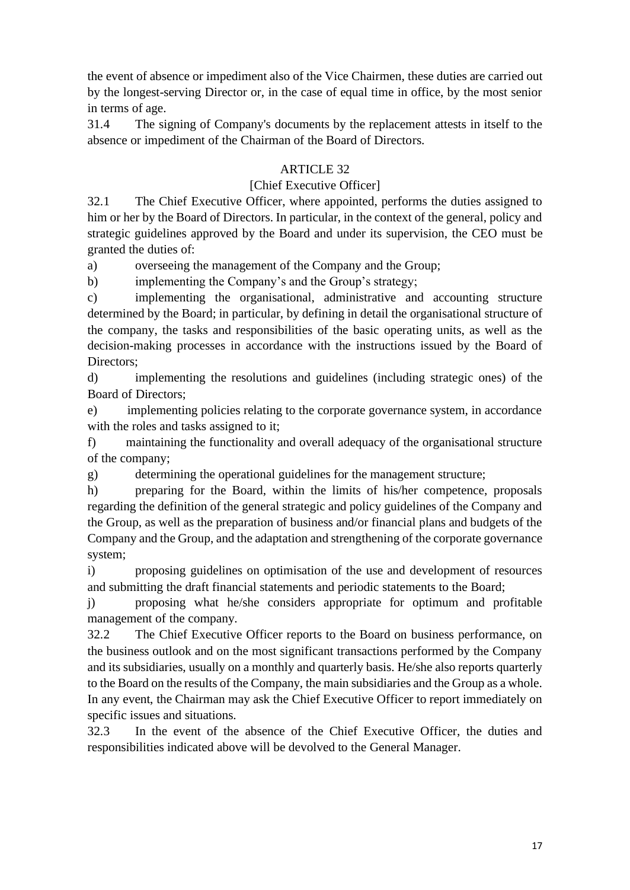the event of absence or impediment also of the Vice Chairmen, these duties are carried out by the longest-serving Director or, in the case of equal time in office, by the most senior in terms of age.

31.4 The signing of Company's documents by the replacement attests in itself to the absence or impediment of the Chairman of the Board of Directors.

## ARTICLE 32

## [Chief Executive Officer]

32.1 The Chief Executive Officer, where appointed, performs the duties assigned to him or her by the Board of Directors. In particular, in the context of the general, policy and strategic guidelines approved by the Board and under its supervision, the CEO must be granted the duties of:

a) overseeing the management of the Company and the Group;

b) implementing the Company's and the Group's strategy;

c) implementing the organisational, administrative and accounting structure determined by the Board; in particular, by defining in detail the organisational structure of the company, the tasks and responsibilities of the basic operating units, as well as the decision-making processes in accordance with the instructions issued by the Board of Directors;

d) implementing the resolutions and guidelines (including strategic ones) of the Board of Directors;

e) implementing policies relating to the corporate governance system, in accordance with the roles and tasks assigned to it;

f) maintaining the functionality and overall adequacy of the organisational structure of the company;

g) determining the operational guidelines for the management structure;

h) preparing for the Board, within the limits of his/her competence, proposals regarding the definition of the general strategic and policy guidelines of the Company and the Group, as well as the preparation of business and/or financial plans and budgets of the Company and the Group, and the adaptation and strengthening of the corporate governance system;

i) proposing guidelines on optimisation of the use and development of resources and submitting the draft financial statements and periodic statements to the Board;

j) proposing what he/she considers appropriate for optimum and profitable management of the company.

32.2 The Chief Executive Officer reports to the Board on business performance, on the business outlook and on the most significant transactions performed by the Company and its subsidiaries, usually on a monthly and quarterly basis. He/she also reports quarterly to the Board on the results of the Company, the main subsidiaries and the Group as a whole. In any event, the Chairman may ask the Chief Executive Officer to report immediately on specific issues and situations.

32.3 In the event of the absence of the Chief Executive Officer, the duties and responsibilities indicated above will be devolved to the General Manager.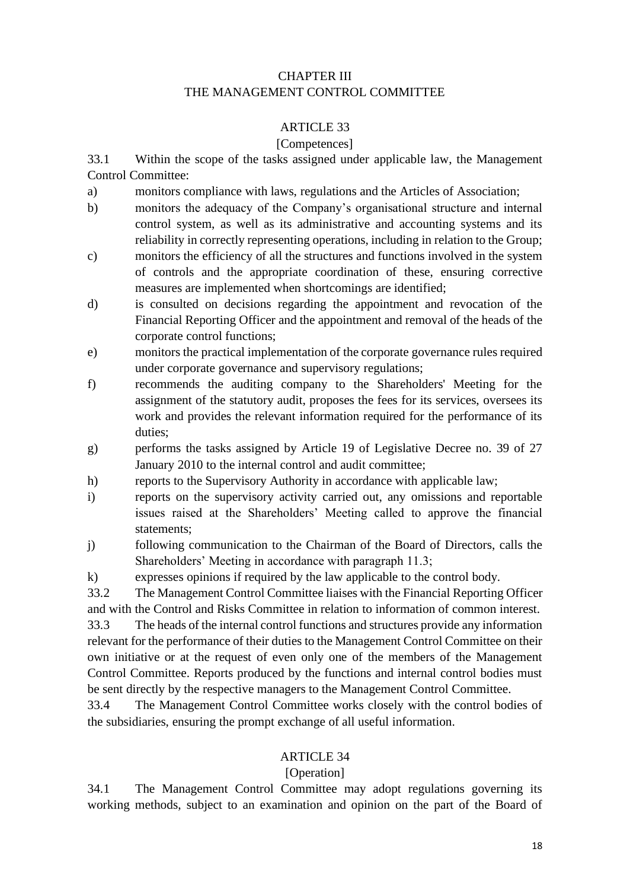## CHAPTER III THE MANAGEMENT CONTROL COMMITTEE

## ARTICLE 33

## [Competences]

33.1 Within the scope of the tasks assigned under applicable law, the Management Control Committee:

- a) monitors compliance with laws, regulations and the Articles of Association;
- b) monitors the adequacy of the Company's organisational structure and internal control system, as well as its administrative and accounting systems and its reliability in correctly representing operations, including in relation to the Group;
- c) monitors the efficiency of all the structures and functions involved in the system of controls and the appropriate coordination of these, ensuring corrective measures are implemented when shortcomings are identified;
- d) is consulted on decisions regarding the appointment and revocation of the Financial Reporting Officer and the appointment and removal of the heads of the corporate control functions;
- e) monitors the practical implementation of the corporate governance rules required under corporate governance and supervisory regulations;
- f) recommends the auditing company to the Shareholders' Meeting for the assignment of the statutory audit, proposes the fees for its services, oversees its work and provides the relevant information required for the performance of its duties;
- g) performs the tasks assigned by Article 19 of Legislative Decree no. 39 of 27 January 2010 to the internal control and audit committee;
- h) reports to the Supervisory Authority in accordance with applicable law;
- i) reports on the supervisory activity carried out, any omissions and reportable issues raised at the Shareholders' Meeting called to approve the financial statements;
- j) following communication to the Chairman of the Board of Directors, calls the Shareholders' Meeting in accordance with paragraph 11.3;
- k) expresses opinions if required by the law applicable to the control body.

33.2 The Management Control Committee liaises with the Financial Reporting Officer

and with the Control and Risks Committee in relation to information of common interest. 33.3 The heads of the internal control functions and structures provide any information relevant for the performance of their duties to the Management Control Committee on their own initiative or at the request of even only one of the members of the Management Control Committee. Reports produced by the functions and internal control bodies must be sent directly by the respective managers to the Management Control Committee.

33.4 The Management Control Committee works closely with the control bodies of the subsidiaries, ensuring the prompt exchange of all useful information.

## ARTICLE 34

## [Operation]

34.1 The Management Control Committee may adopt regulations governing its working methods, subject to an examination and opinion on the part of the Board of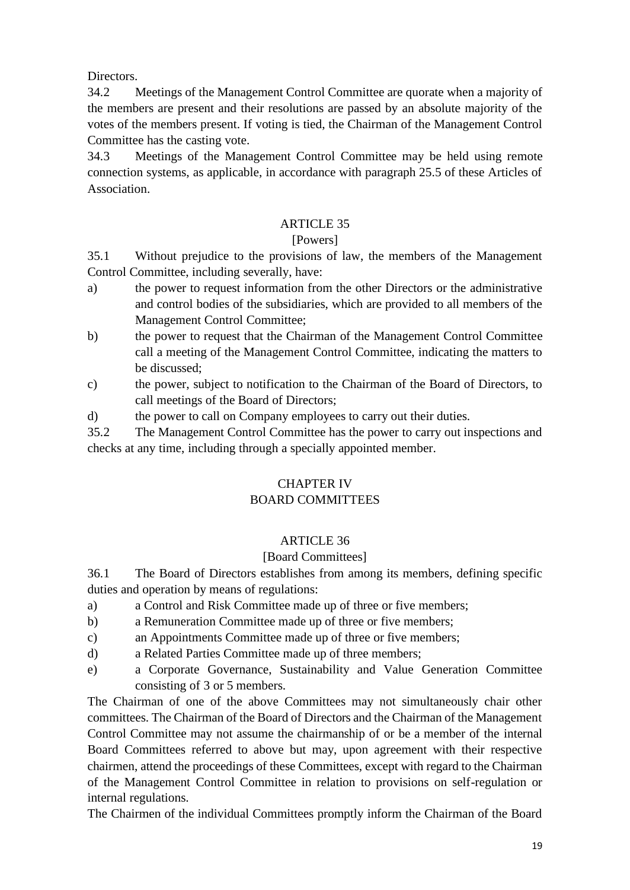Directors.

34.2 Meetings of the Management Control Committee are quorate when a majority of the members are present and their resolutions are passed by an absolute majority of the votes of the members present. If voting is tied, the Chairman of the Management Control Committee has the casting vote.

34.3 Meetings of the Management Control Committee may be held using remote connection systems, as applicable, in accordance with paragraph 25.5 of these Articles of Association.

## ARTICLE 35

### [Powers]

35.1 Without prejudice to the provisions of law, the members of the Management Control Committee, including severally, have:

- a) the power to request information from the other Directors or the administrative and control bodies of the subsidiaries, which are provided to all members of the Management Control Committee;
- b) the power to request that the Chairman of the Management Control Committee call a meeting of the Management Control Committee, indicating the matters to be discussed;
- c) the power, subject to notification to the Chairman of the Board of Directors, to call meetings of the Board of Directors;
- d) the power to call on Company employees to carry out their duties.

35.2 The Management Control Committee has the power to carry out inspections and checks at any time, including through a specially appointed member.

## CHAPTER IV BOARD COMMITTEES

## ARTICLE 36

## [Board Committees]

36.1 The Board of Directors establishes from among its members, defining specific duties and operation by means of regulations:

- a) a Control and Risk Committee made up of three or five members;
- b) a Remuneration Committee made up of three or five members;
- c) an Appointments Committee made up of three or five members;
- d) a Related Parties Committee made up of three members;
- e) a Corporate Governance, Sustainability and Value Generation Committee consisting of 3 or 5 members.

The Chairman of one of the above Committees may not simultaneously chair other committees. The Chairman of the Board of Directors and the Chairman of the Management Control Committee may not assume the chairmanship of or be a member of the internal Board Committees referred to above but may, upon agreement with their respective chairmen, attend the proceedings of these Committees, except with regard to the Chairman of the Management Control Committee in relation to provisions on self-regulation or internal regulations.

The Chairmen of the individual Committees promptly inform the Chairman of the Board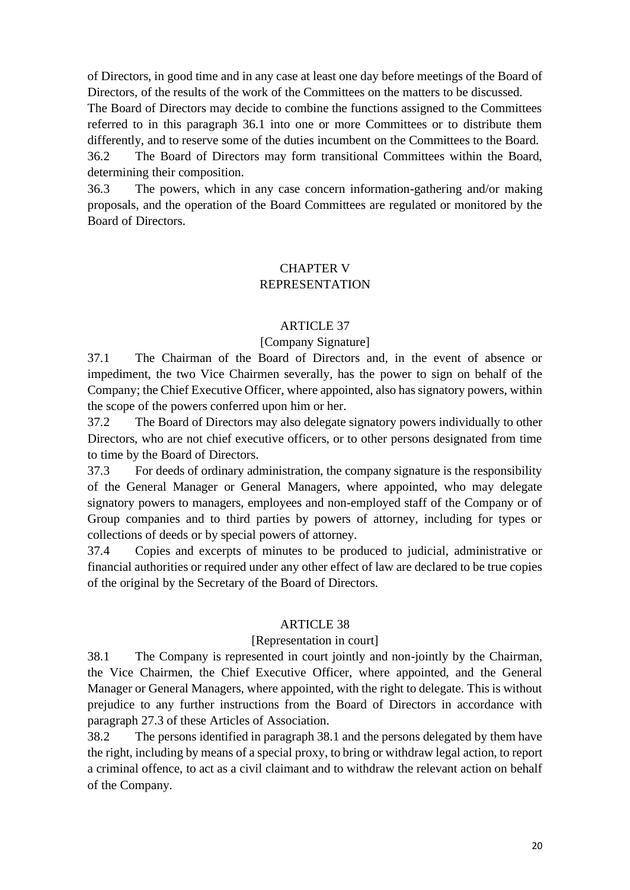of Directors, in good time and in any case at least one day before meetings of the Board of Directors, of the results of the work of the Committees on the matters to be discussed.

The Board of Directors may decide to combine the functions assigned to the Committees referred to in this paragraph 36.1 into one or more Committees or to distribute them differently, and to reserve some of the duties incumbent on the Committees to the Board.

36.2 The Board of Directors may form transitional Committees within the Board, determining their composition.

36.3 The powers, which in any case concern information-gathering and/or making proposals, and the operation of the Board Committees are regulated or monitored by the Board of Directors.

## CHAPTER V REPRESENTATION

## ARTICLE 37

## [Company Signature]

37.1 The Chairman of the Board of Directors and, in the event of absence or impediment, the two Vice Chairmen severally, has the power to sign on behalf of the Company; the Chief Executive Officer, where appointed, also has signatory powers, within the scope of the powers conferred upon him or her.

37.2 The Board of Directors may also delegate signatory powers individually to other Directors, who are not chief executive officers, or to other persons designated from time to time by the Board of Directors.

37.3 For deeds of ordinary administration, the company signature is the responsibility of the General Manager or General Managers, where appointed, who may delegate signatory powers to managers, employees and non-employed staff of the Company or of Group companies and to third parties by powers of attorney, including for types or collections of deeds or by special powers of attorney.

37.4 Copies and excerpts of minutes to be produced to judicial, administrative or financial authorities or required under any other effect of law are declared to be true copies of the original by the Secretary of the Board of Directors.

### ARTICLE 38

### [Representation in court]

38.1 The Company is represented in court jointly and non-jointly by the Chairman, the Vice Chairmen, the Chief Executive Officer, where appointed, and the General Manager or General Managers, where appointed, with the right to delegate. This is without prejudice to any further instructions from the Board of Directors in accordance with paragraph 27.3 of these Articles of Association.

38.2 The persons identified in paragraph 38.1 and the persons delegated by them have the right, including by means of a special proxy, to bring or withdraw legal action, to report a criminal offence, to act as a civil claimant and to withdraw the relevant action on behalf of the Company.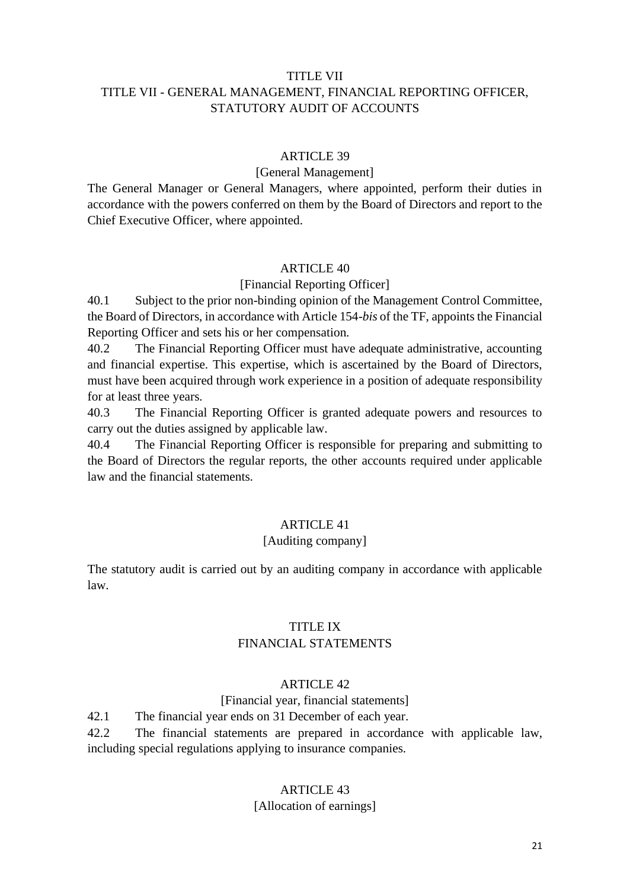### TITLE VII

## TITLE VII - GENERAL MANAGEMENT, FINANCIAL REPORTING OFFICER, STATUTORY AUDIT OF ACCOUNTS

### ARTICLE 39

### [General Management]

The General Manager or General Managers, where appointed, perform their duties in accordance with the powers conferred on them by the Board of Directors and report to the Chief Executive Officer, where appointed.

## ARTICLE 40

### [Financial Reporting Officer]

40.1 Subject to the prior non-binding opinion of the Management Control Committee, the Board of Directors, in accordance with Article 154-*bis* of the TF, appoints the Financial Reporting Officer and sets his or her compensation.

40.2 The Financial Reporting Officer must have adequate administrative, accounting and financial expertise. This expertise, which is ascertained by the Board of Directors, must have been acquired through work experience in a position of adequate responsibility for at least three years.

40.3 The Financial Reporting Officer is granted adequate powers and resources to carry out the duties assigned by applicable law.

40.4 The Financial Reporting Officer is responsible for preparing and submitting to the Board of Directors the regular reports, the other accounts required under applicable law and the financial statements.

#### ARTICLE 41

### [Auditing company]

The statutory audit is carried out by an auditing company in accordance with applicable law.

## TITLE IX FINANCIAL STATEMENTS

#### ARTICLE 42

#### [Financial year, financial statements]

42.1 The financial year ends on 31 December of each year.

42.2 The financial statements are prepared in accordance with applicable law, including special regulations applying to insurance companies.

#### ARTICLE 43

[Allocation of earnings]